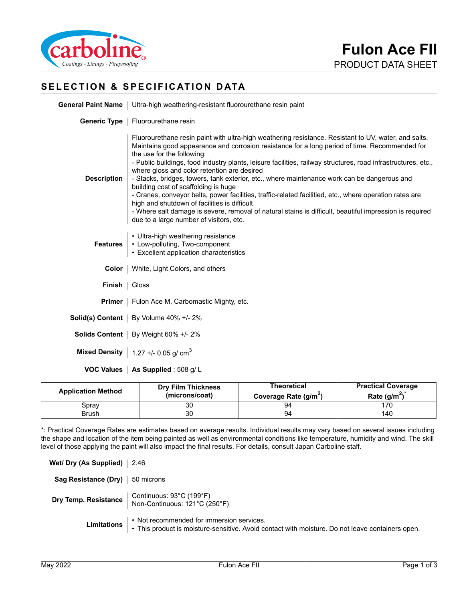

# **SELECTION & SPECIFICATION DATA**

|                    | General Paint Name   Ultra-high weathering-resistant fluorourethane resin paint                                                                                                                                                                                                                                                                                                                                                                                                                                                                                                                                                                                                                                                                                                                                                                             |  |  |
|--------------------|-------------------------------------------------------------------------------------------------------------------------------------------------------------------------------------------------------------------------------------------------------------------------------------------------------------------------------------------------------------------------------------------------------------------------------------------------------------------------------------------------------------------------------------------------------------------------------------------------------------------------------------------------------------------------------------------------------------------------------------------------------------------------------------------------------------------------------------------------------------|--|--|
|                    | Generic Type   Fluorourethane resin                                                                                                                                                                                                                                                                                                                                                                                                                                                                                                                                                                                                                                                                                                                                                                                                                         |  |  |
| <b>Description</b> | Fluorourethane resin paint with ultra-high weathering resistance. Resistant to UV, water, and salts.<br>Maintains good appearance and corrosion resistance for a long period of time. Recommended for<br>the use for the following;<br>- Public buildings, food industry plants, leisure facilities, railway structures, road infrastructures, etc.,<br>where gloss and color retention are desired<br>- Stacks, bridges, towers, tank exterior, etc., where maintenance work can be dangerous and<br>building cost of scaffolding is huge<br>- Cranes, conveyor belts, power facilities, traffic-related facilitied, etc., where operation rates are<br>high and shutdown of facilities is difficult<br>- Where salt damage is severe, removal of natural stains is difficult, beautiful impression is required<br>due to a large number of visitors, etc. |  |  |
| <b>Features</b>    | • Ultra-high weathering resistance<br>• Low-polluting, Two-component<br>• Excellent application characteristics                                                                                                                                                                                                                                                                                                                                                                                                                                                                                                                                                                                                                                                                                                                                             |  |  |
|                    | <b>Color</b>   White, Light Colors, and others                                                                                                                                                                                                                                                                                                                                                                                                                                                                                                                                                                                                                                                                                                                                                                                                              |  |  |
| Finish             | Gloss                                                                                                                                                                                                                                                                                                                                                                                                                                                                                                                                                                                                                                                                                                                                                                                                                                                       |  |  |
|                    | <b>Primer</b>   Fulon Ace M, Carbomastic Mighty, etc.                                                                                                                                                                                                                                                                                                                                                                                                                                                                                                                                                                                                                                                                                                                                                                                                       |  |  |
|                    | Solid(s) Content   By Volume 40% +/- 2%                                                                                                                                                                                                                                                                                                                                                                                                                                                                                                                                                                                                                                                                                                                                                                                                                     |  |  |
|                    | Solids Content   By Weight 60% +/- 2%                                                                                                                                                                                                                                                                                                                                                                                                                                                                                                                                                                                                                                                                                                                                                                                                                       |  |  |
|                    | Mixed Density   1.27 +/- 0.05 g/ $cm3$                                                                                                                                                                                                                                                                                                                                                                                                                                                                                                                                                                                                                                                                                                                                                                                                                      |  |  |
|                    | <b>VOC Values   As Supplied: 508 g/L</b>                                                                                                                                                                                                                                                                                                                                                                                                                                                                                                                                                                                                                                                                                                                                                                                                                    |  |  |

| <b>Application Method</b> | <b>Dry Film Thickness</b><br>(microns/coat) | Theoretical<br>Coverage Rate (g/m <sup>2</sup> ) | <b>Practical Coverage</b><br>Rate $(g/m^2)^*$ |
|---------------------------|---------------------------------------------|--------------------------------------------------|-----------------------------------------------|
| Sprav                     | 30                                          | 94                                               | 170                                           |
| Brush                     | 30                                          | 94                                               | 140                                           |

\*: Practical Coverage Rates are estimates based on average results. Individual results may vary based on several issues including the shape and location of the item being painted as well as environmental conditions like temperature, humidity and wind. The skill level of those applying the paint will also impact the final results. For details, consult Japan Carboline staff.

| Wet/ Dry (As Supplied) $\vert$ 2.46 |                                                                                                                                                           |
|-------------------------------------|-----------------------------------------------------------------------------------------------------------------------------------------------------------|
| Sag Resistance (Dry)   50 microns   |                                                                                                                                                           |
|                                     | <b>Dry Temp. Resistance</b>   Continuous: 93°C (199°F)<br>Non-Continuous: 121°C (250°F)                                                                   |
|                                     | Limitations : Not recommended for immersion services.<br>• This product is moisture-sensitive. Avoid contact with moisture. Do not leave containers open. |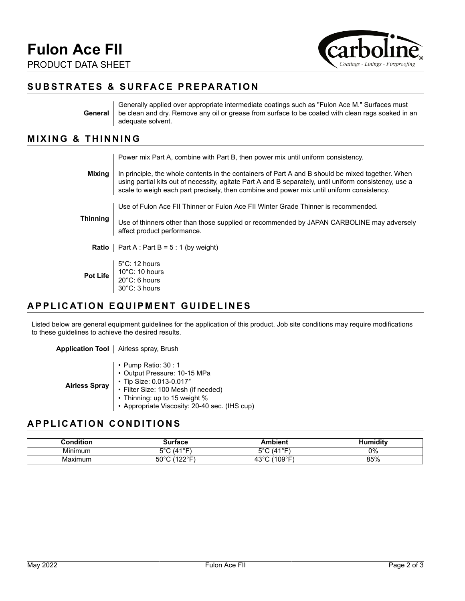

## **SUBSTRATES & SURFACE PREPARATION**

**General** Generally applied over appropriate intermediate coatings such as "Fulon Ace M." Surfaces must be clean and dry. Remove any oil or grease from surface to be coated with clean rags soaked in an adequate solvent.

#### **MIXING & THINNING**

|                 | Power mix Part A, combine with Part B, then power mix until uniform consistency.                                                                                                                                                                                                                         |
|-----------------|----------------------------------------------------------------------------------------------------------------------------------------------------------------------------------------------------------------------------------------------------------------------------------------------------------|
| Mixing          | In principle, the whole contents in the containers of Part A and B should be mixed together. When<br>using partial kits out of necessity, agitate Part A and B separately, until uniform consistency, use a<br>scale to weigh each part precisely, then combine and power mix until uniform consistency. |
| <b>Thinning</b> | Use of Fulon Ace FII Thinner or Fulon Ace FII Winter Grade Thinner is recommended.                                                                                                                                                                                                                       |
|                 | Use of thinners other than those supplied or recommended by JAPAN CARBOLINE may adversely<br>affect product performance.                                                                                                                                                                                 |
|                 | <b>Ratio</b>   Part A : Part B = $5:1$ (by weight)                                                                                                                                                                                                                                                       |
|                 | $5^{\circ}$ C: 12 hours<br><b>Pot Life</b> $\left  \begin{array}{c} 10^{\circ}$ C: 10 hours 20°C: 6 hours<br>30°C: 3 hours                                                                                                                                                                               |

### **APPLICATION EQUIPMENT GUIDELINES**

Listed below are general equipment guidelines for the application of this product. Job site conditions may require modifications to these guidelines to achieve the desired results.

**Application Tool** | Airless spray, Brush

| <b>Airless Spray</b> | $\cdot$ Pump Ratio: 30 : 1<br>• Output Pressure: 10-15 MPa<br>• Tip Size: 0.013-0.017"<br>• Filter Size: 100 Mesh (if needed)<br>• Thinning: up to 15 weight % |
|----------------------|----------------------------------------------------------------------------------------------------------------------------------------------------------------|
|                      | • Appropriate Viscosity: 20-40 sec. (IHS cup)                                                                                                                  |

### **APPLICATION CONDITIONS**

| .onditior    | 10 J.C                 | hiant                  | .<br>and i the co<br>ım |
|--------------|------------------------|------------------------|-------------------------|
| .<br>Minimum | $(A1^{\circ}F)$<br>⊏∘ึ | -00<br>$(A \cup C')$   | $0\%$                   |
| Maximum      | (1000)<br>EO .<br>ວເ   | $\sim$<br>109°F'<br>тv | 85%                     |